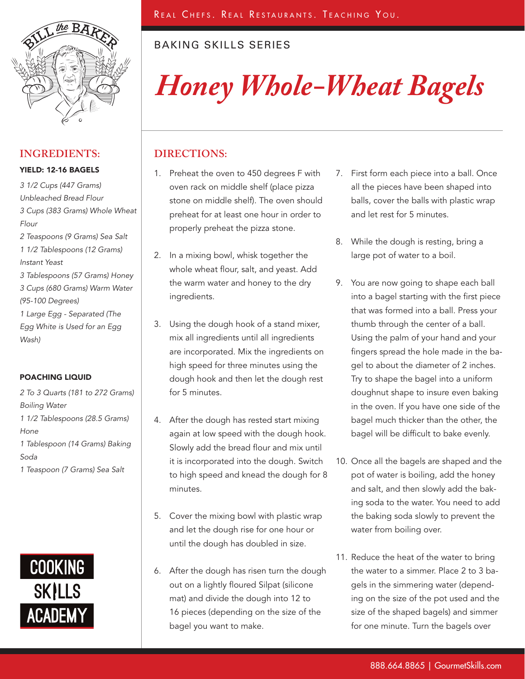

## **INGREDIENTS:**

#### YIELD: 12-16 BAGELS

*3 1/2 Cups (447 Grams) Unbleached Bread Flour 3 Cups (383 Grams) Whole Wheat Flour 2 Teaspoons (9 Grams) Sea Salt 1 1/2 Tablespoons (12 Grams) Instant Yeast 3 Tablespoons (57 Grams) Honey 3 Cups (680 Grams) Warm Water (95-100 Degrees) 1 Large Egg - Separated (The Egg White is Used for an Egg Wash)*

### POACHING LIQUID

*2 To 3 Quarts (181 to 272 Grams) Boiling Water 1 1/2 Tablespoons (28.5 Grams) Hone 1 Tablespoon (14 Grams) Baking Soda 1 Teaspoon (7 Grams) Sea Salt*



## BAKING SKILLS SERIES

# *Honey Whole-Wheat Bagels*

## **DIRECTIONS:**

- 1. Preheat the oven to 450 degrees F with oven rack on middle shelf (place pizza stone on middle shelf). The oven should preheat for at least one hour in order to properly preheat the pizza stone.
- 2. In a mixing bowl, whisk together the whole wheat flour, salt, and yeast. Add the warm water and honey to the dry ingredients.
- 3. Using the dough hook of a stand mixer, mix all ingredients until all ingredients are incorporated. Mix the ingredients on high speed for three minutes using the dough hook and then let the dough rest for 5 minutes.
- 4. After the dough has rested start mixing again at low speed with the dough hook. Slowly add the bread flour and mix until it is incorporated into the dough. Switch to high speed and knead the dough for 8 minutes.
- 5. Cover the mixing bowl with plastic wrap and let the dough rise for one hour or until the dough has doubled in size.
- 6. After the dough has risen turn the dough out on a lightly floured Silpat (silicone mat) and divide the dough into 12 to 16 pieces (depending on the size of the bagel you want to make.
- 7. First form each piece into a ball. Once all the pieces have been shaped into balls, cover the balls with plastic wrap and let rest for 5 minutes.
- 8. While the dough is resting, bring a large pot of water to a boil.
- 9. You are now going to shape each ball into a bagel starting with the first piece that was formed into a ball. Press your thumb through the center of a ball. Using the palm of your hand and your fingers spread the hole made in the bagel to about the diameter of 2 inches. Try to shape the bagel into a uniform doughnut shape to insure even baking in the oven. If you have one side of the bagel much thicker than the other, the bagel will be difficult to bake evenly.
- 10. Once all the bagels are shaped and the pot of water is boiling, add the honey and salt, and then slowly add the baking soda to the water. You need to add the baking soda slowly to prevent the water from boiling over.
- 11. Reduce the heat of the water to bring the water to a simmer. Place 2 to 3 bagels in the simmering water (depending on the size of the pot used and the size of the shaped bagels) and simmer for one minute. Turn the bagels over